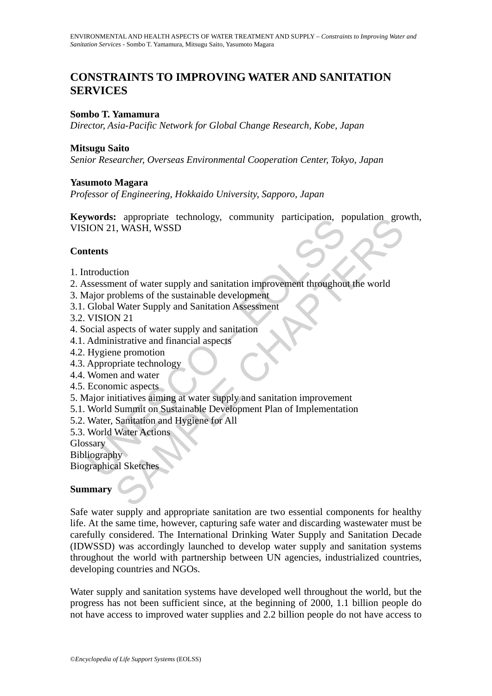# **CONSTRAINTS TO IMPROVING WATER AND SANITATION SERVICES**

#### **Sombo T. Yamamura**

*Director, Asia-Pacific Network for Global Change Research, Kobe, Japan*

#### **Mitsugu Saito**

*Senior Researcher, Overseas Environmental Cooperation Center, Tokyo, Japan* 

#### **Yasumoto Magara**

*Professor of Engineering, Hokkaido University, Sapporo, Japan* 

Word's: appropriate technology, community participation, p<br>
ION 21, WASH, WSSD<br>
tents<br>
stessessment of water supply and sanitation improvement throughou<br>
dajor problems of the sustainable development<br>
Global Water Supply a Example a technology, community participation, population grows<br>
1, WASH, WSSD<br>
1, WASH, WSSD<br>
to the statianable development<br>
Water Supply and Sanitation improvement throughout the world<br>
Nation School Water Supply and Sa **Keywords:** appropriate technology, community participation, population growth, VISION 21, WASH, WSSD

#### **Contents**

- 1. Introduction
- 2. Assessment of water supply and sanitation improvement throughout the world
- 3. Major problems of the sustainable development
- 3.1. Global Water Supply and Sanitation Assessment
- 3.2. VISION 21
- 4. Social aspects of water supply and sanitation
- 4.1. Administrative and financial aspects
- 4.2. Hygiene promotion
- 4.3. Appropriate technology
- 4.4. Women and water
- 4.5. Economic aspects
- 5. Major initiatives aiming at water supply and sanitation improvement
- 5.1. World Summit on Sustainable Development Plan of Implementation
- 5.2. Water, Sanitation and Hygiene for All
- 5.3. World Water Actions

**Glossary** 

**Bibliography** 

Biographical Sketches

### **Summary**

Safe water supply and appropriate sanitation are two essential components for healthy life. At the same time, however, capturing safe water and discarding wastewater must be carefully considered. The International Drinking Water Supply and Sanitation Decade (IDWSSD) was accordingly launched to develop water supply and sanitation systems throughout the world with partnership between UN agencies, industrialized countries, developing countries and NGOs.

Water supply and sanitation systems have developed well throughout the world, but the progress has not been sufficient since, at the beginning of 2000, 1.1 billion people do not have access to improved water supplies and 2.2 billion people do not have access to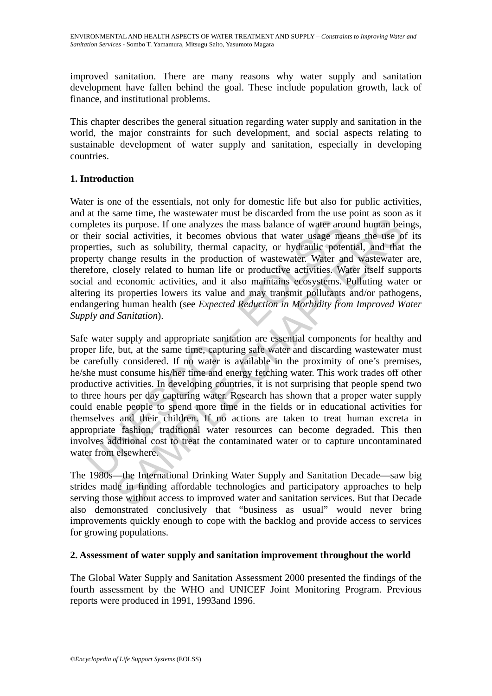improved sanitation. There are many reasons why water supply and sanitation development have fallen behind the goal. These include population growth, lack of finance, and institutional problems.

This chapter describes the general situation regarding water supply and sanitation in the world, the major constraints for such development, and social aspects relating to sustainable development of water supply and sanitation, especially in developing countries.

## **1. Introduction**

Water is one of the essentials, not only for domestic life but also for public activities, and at the same time, the wastewater must be discarded from the use point as soon as it completes its purpose. If one analyzes the mass balance of water around human beings, or their social activities, it becomes obvious that water usage means the use of its properties, such as solubility, thermal capacity, or hydraulic potential, and that the property change results in the production of wastewater. Water and wastewater are, therefore, closely related to human life or productive activities. Water itself supports social and economic activities, and it also maintains ecosystems. Polluting water or altering its properties lowers its value and may transmit pollutants and/or pathogens, endangering human health (see *Expected Reduction in Morbidity from Improved Water Supply and Sanitation*).

pletes its purpose. If one analyzes the mass balance of water aro<br>heir social activities, it becomes obvious that water usage me<br>erties, such as solubility, thermal capacity, or hydraulic pote<br>erty change results in the pr its purpose. If one analyzes the mass balance of water around human beival activities, it becomes obvious that water usage means the use o such as solubility, thermal capacity, or hydraulic potential, and that many eresult Safe water supply and appropriate sanitation are essential components for healthy and proper life, but, at the same time, capturing safe water and discarding wastewater must be carefully considered. If no water is available in the proximity of one's premises, he/she must consume his/her time and energy fetching water. This work trades off other productive activities. In developing countries, it is not surprising that people spend two to three hours per day capturing water. Research has shown that a proper water supply could enable people to spend more time in the fields or in educational activities for themselves and their children. If no actions are taken to treat human excreta in appropriate fashion, traditional water resources can become degraded. This then involves additional cost to treat the contaminated water or to capture uncontaminated water from elsewhere.

The 1980s—the International Drinking Water Supply and Sanitation Decade—saw big strides made in finding affordable technologies and participatory approaches to help serving those without access to improved water and sanitation services. But that Decade also demonstrated conclusively that "business as usual" would never bring improvements quickly enough to cope with the backlog and provide access to services for growing populations.

### **2. Assessment of water supply and sanitation improvement throughout the world**

The Global Water Supply and Sanitation Assessment 2000 presented the findings of the fourth assessment by the WHO and UNICEF Joint Monitoring Program. Previous reports were produced in 1991, 1993and 1996.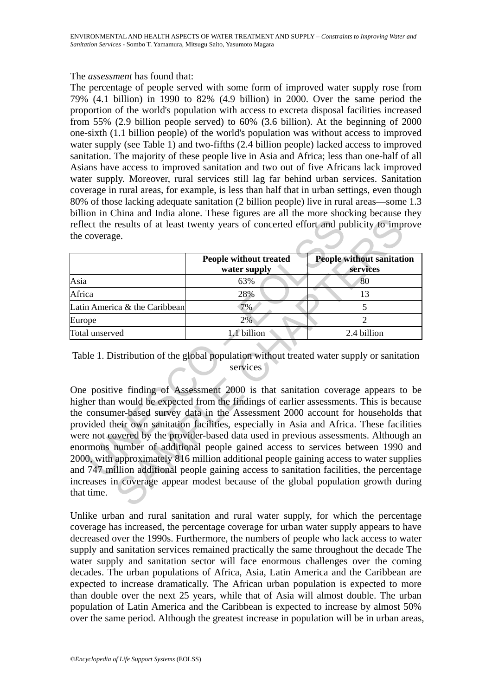#### The *assessment* has found that:

The percentage of people served with some form of improved water supply rose from 79% (4.1 billion) in 1990 to 82% (4.9 billion) in 2000. Over the same period the proportion of the world's population with access to excreta disposal facilities increased from 55% (2.9 billion people served) to 60% (3.6 billion). At the beginning of 2000 one-sixth (1.1 billion people) of the world's population was without access to improved water supply (see Table 1) and two-fifths (2.4 billion people) lacked access to improved sanitation. The majority of these people live in Asia and Africa; less than one-half of all Asians have access to improved sanitation and two out of five Africans lack improved water supply. Moreover, rural services still lag far behind urban services. Sanitation coverage in rural areas, for example, is less than half that in urban settings, even though 80% of those lacking adequate sanitation (2 billion people) live in rural areas—some 1.3 billion in China and India alone. These figures are all the more shocking because they reflect the results of at least twenty years of concerted effort and publicity to improve the coverage.

|                               | People without treated<br>water supply | <b>People without sanitation</b><br>services |
|-------------------------------|----------------------------------------|----------------------------------------------|
| Asia                          | 63%                                    | 80                                           |
| Africa                        | 28%                                    |                                              |
| Latin America & the Caribbean | 7%                                     |                                              |
| Europe                        | 2%                                     |                                              |
| Total unserved                | 1.1 billion                            | 2.4 billion                                  |

### Table 1. Distribution of the global population without treated water supply or sanitation services

Example the results of at least twenty years of concerted effort and proverage.<br>
The coverage example the coverage of the coverage of the coverage of the coverage of the coverage of the coverage of the coverage of the Cari The surface of the season of the global population and providing a discussion of the season of the global population of the global population of the global population without treated water supply<br>
SAMPLE CHAPTERS (SAMPLE C One positive finding of Assessment 2000 is that sanitation coverage appears to be higher than would be expected from the findings of earlier assessments. This is because the consumer-based survey data in the Assessment 2000 account for households that provided their own sanitation facilities, especially in Asia and Africa. These facilities were not covered by the provider-based data used in previous assessments. Although an enormous number of additional people gained access to services between 1990 and 2000, with approximately 816 million additional people gaining access to water supplies and 747 million additional people gaining access to sanitation facilities, the percentage increases in coverage appear modest because of the global population growth during that time.

Unlike urban and rural sanitation and rural water supply, for which the percentage coverage has increased, the percentage coverage for urban water supply appears to have decreased over the 1990s. Furthermore, the numbers of people who lack access to water supply and sanitation services remained practically the same throughout the decade The water supply and sanitation sector will face enormous challenges over the coming decades. The urban populations of Africa, Asia, Latin America and the Caribbean are expected to increase dramatically. The African urban population is expected to more than double over the next 25 years, while that of Asia will almost double. The urban population of Latin America and the Caribbean is expected to increase by almost 50% over the same period. Although the greatest increase in population will be in urban areas,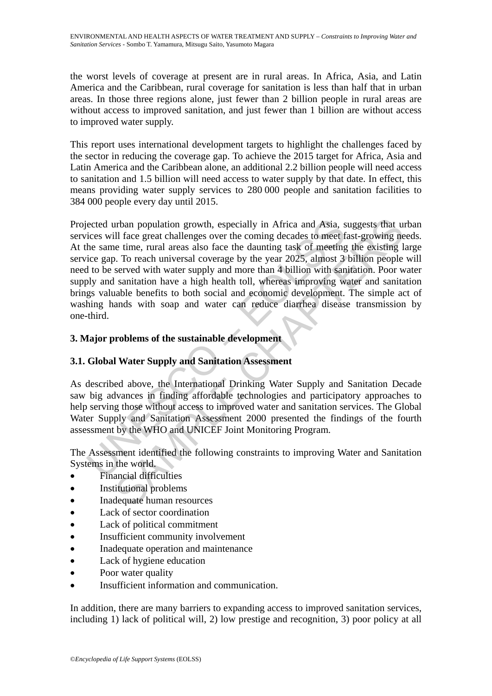the worst levels of coverage at present are in rural areas. In Africa, Asia, and Latin America and the Caribbean, rural coverage for sanitation is less than half that in urban areas. In those three regions alone, just fewer than 2 billion people in rural areas are without access to improved sanitation, and just fewer than 1 billion are without access to improved water supply.

This report uses international development targets to highlight the challenges faced by the sector in reducing the coverage gap. To achieve the 2015 target for Africa, Asia and Latin America and the Caribbean alone, an additional 2.2 billion people will need access to sanitation and 1.5 billion will need access to water supply by that date. In effect, this means providing water supply services to 280 000 people and sanitation facilities to 384 000 people every day until 2015.

ected urban population growth, especially in Africa and Asia, s<br>cices will face great challenges over the coming decades to meet f<br>he same time, rural areas also face the daunting task of meeting<br>ice gap. To reach universa arban population growth, especially in Africa and Asia, suggests that ull face great challenges over the coming decades to meet fast-growing ne time. rural careas also face the daunting task of meeting the existing 1. To r Projected urban population growth, especially in Africa and Asia, suggests that urban services will face great challenges over the coming decades to meet fast-growing needs. At the same time, rural areas also face the daunting task of meeting the existing large service gap. To reach universal coverage by the year 2025, almost 3 billion people will need to be served with water supply and more than 4 billion with sanitation. Poor water supply and sanitation have a high health toll, whereas improving water and sanitation brings valuable benefits to both social and economic development. The simple act of washing hands with soap and water can reduce diarrhea disease transmission by one-third.

## **3. Major problems of the sustainable development**

### **3.1. Global Water Supply and Sanitation Assessment**

As described above, the International Drinking Water Supply and Sanitation Decade saw big advances in finding affordable technologies and participatory approaches to help serving those without access to improved water and sanitation services. The Global Water Supply and Sanitation Assessment 2000 presented the findings of the fourth assessment by the WHO and UNICEF Joint Monitoring Program.

The Assessment identified the following constraints to improving Water and Sanitation Systems in the world.

- Financial difficulties
- Institutional problems
- Inadequate human resources
- Lack of sector coordination
- Lack of political commitment
- Insufficient community involvement
- Inadequate operation and maintenance
- Lack of hygiene education
- Poor water quality
- Insufficient information and communication.

In addition, there are many barriers to expanding access to improved sanitation services, including 1) lack of political will, 2) low prestige and recognition, 3) poor policy at all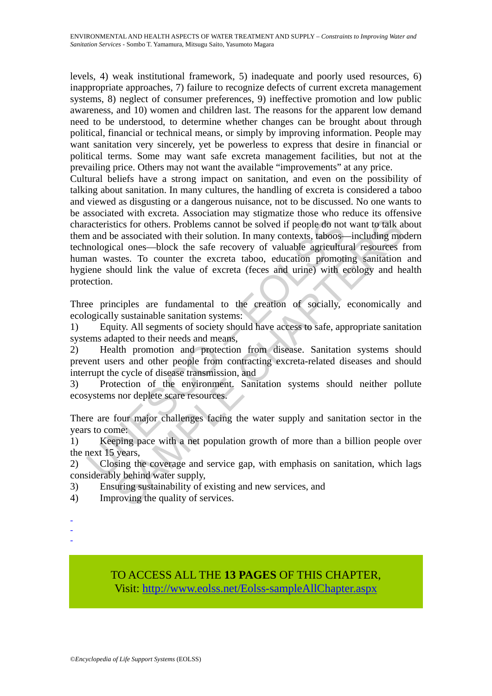ENVIRONMENTAL AND HEALTH ASPECTS OF WATER TREATMENT AND SUPPLY – *Constraints to Improving Water and Sanitation Services* - Sombo T. Yamamura, Mitsugu Saito, Yasumoto Magara

levels, 4) weak institutional framework, 5) inadequate and poorly used resources, 6) inappropriate approaches, 7) failure to recognize defects of current excreta management systems, 8) neglect of consumer preferences, 9) ineffective promotion and low public awareness, and 10) women and children last. The reasons for the apparent low demand need to be understood, to determine whether changes can be brought about through political, financial or technical means, or simply by improving information. People may want sanitation very sincerely, yet be powerless to express that desire in financial or political terms. Some may want safe excreta management facilities, but not at the prevailing price. Others may not want the available "improvements" at any price.

racteristics for others. Problems cannot be solved if people do not<br>and be associated with their solution. In many contexts, taboos-<br>mological ones—block the safe recovery of valuable agriculture<br>ann wastes. To counter the tics for others. Problems cannot be solved if people do not want to talk at eassociated with their solution. In many contexts, taboos—including mocal ones—block the safe recovery of valuable agricultural resources that sat Cultural beliefs have a strong impact on sanitation, and even on the possibility of talking about sanitation. In many cultures, the handling of excreta is considered a taboo and viewed as disgusting or a dangerous nuisance, not to be discussed. No one wants to be associated with excreta. Association may stigmatize those who reduce its offensive characteristics for others. Problems cannot be solved if people do not want to talk about them and be associated with their solution. In many contexts, taboos—including modern technological ones—block the safe recovery of valuable agricultural resources from human wastes. To counter the excreta taboo, education promoting sanitation and hygiene should link the value of excreta (feces and urine) with ecology and health protection.

Three principles are fundamental to the creation of socially, economically and ecologically sustainable sanitation systems:

1) Equity. All segments of society should have access to safe, appropriate sanitation systems adapted to their needs and means,

2) Health promotion and protection from disease. Sanitation systems should prevent users and other people from contracting excreta-related diseases and should interrupt the cycle of disease transmission, and

3) Protection of the environment. Sanitation systems should neither pollute ecosystems nor deplete scare resources.

There are four major challenges facing the water supply and sanitation sector in the years to come:

1) Keeping pace with a net population growth of more than a billion people over the next 15 years,

2) Closing the coverage and service gap, with emphasis on sanitation, which lags considerably behind water supply,

3) Ensuring sustainability of existing and new services, and

- 4) Improving the quality of services.
- -
- -
- -

TO ACCESS ALL THE **13 PAGES** OF THIS CHAPTER, Visit: [http://www.eolss.net/Eolss-sampleAllChapter.aspx](https://www.eolss.net/ebooklib/sc_cart.aspx?File=E2-20B-04-04)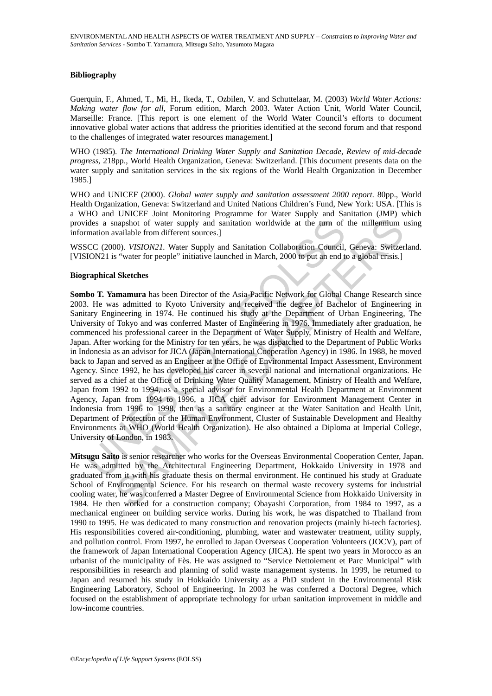#### **Bibliography**

Guerquin, F., Ahmed, T., Mi, H., Ikeda, T., Ozbilen, V. and Schuttelaar, M. (2003) *World Water Actions: Making water flow for all*, Forum edition, March 2003. Water Action Unit, World Water Council, Marseille: France. [This report is one element of the World Water Council's efforts to document innovative global water actions that address the priorities identified at the second forum and that respond to the challenges of integrated water resources management.]

WHO (1985). *The International Drinking Water Supply and Sanitation Decade, Review of mid-decade progress,* 218pp., World Health Organization, Geneva: Switzerland. [This document presents data on the water supply and sanitation services in the six regions of the World Health Organization in December 1985.]

WHO and UNICEF (2000). *Global water supply and sanitation assessment 2000 report*. 80pp., World Health Organization, Geneva: Switzerland and United Nations Children's Fund, New York: USA. [This is a WHO and UNICEF Joint Monitoring Programme for Water Supply and Sanitation (JMP) which provides a snapshot of water supply and sanitation worldwide at the turn of the millennium using information available from different sources.]

WSSCC (2000). *VISION21.* Water Supply and Sanitation Collaboration Council, Geneva: Switzerland. [VISION21 is "water for people" initiative launched in March, 2000 to put an end to a global crisis.]

#### **Biographical Sketches**

ides a snapshot of water supply and sanitation worldwide at the turn of<br>mation available from different sources.]<br>CC (2000). *VISION21*. Water Supply and Sanitation Collaboration Council,<br>ICC (2000). *VISION21*. Water Supp mapshot of water supply and sanitation worldwide at the turn of the millemmium variable from different sources.)<br>
2000, *VISION21*. Water Supply and Sanitation Collaboration Council, Geneva: Switzer Switzer Switzer Switzer **Sombo T. Yamamura** has been Director of the Asia-Pacific Network for Global Change Research since 2003. He was admitted to Kyoto University and received the degree of Bachelor of Engineering in Sanitary Engineering in 1974. He continued his study at the Department of Urban Engineering, The University of Tokyo and was conferred Master of Engineering in 1976. Immediately after graduation, he commenced his professional career in the Department of Water Supply, Ministry of Health and Welfare, Japan. After working for the Ministry for ten years, he was dispatched to the Department of Public Works in Indonesia as an advisor for JICA (Japan International Cooperation Agency) in 1986. In 1988, he moved back to Japan and served as an Engineer at the Office of Environmental Impact Assessment, Environment Agency. Since 1992, he has developed his career in several national and international organizations. He served as a chief at the Office of Drinking Water Quality Management, Ministry of Health and Welfare, Japan from 1992 to 1994, as a special advisor for Environmental Health Department at Environment Agency, Japan from 1994 to 1996, a JICA chief advisor for Environment Management Center in Indonesia from 1996 to 1998, then as a sanitary engineer at the Water Sanitation and Health Unit, Department of Protection of the Human Environment, Cluster of Sustainable Development and Healthy Environments at WHO (World Health Organization). He also obtained a Diploma at Imperial College, University of London, in 1983.

**Mitsugu Saito** is senior researcher who works for the Overseas Environmental Cooperation Center, Japan. He was admitted by the Architectural Engineering Department, Hokkaido University in 1978 and graduated from it with his graduate thesis on thermal environment. He continued his study at Graduate School of Environmental Science. For his research on thermal waste recovery systems for industrial cooling water, he was conferred a Master Degree of Environmental Science from Hokkaido University in 1984. He then worked for a construction company; Obayashi Corporation, from 1984 to 1997, as a mechanical engineer on building service works. During his work, he was dispatched to Thailand from 1990 to 1995. He was dedicated to many construction and renovation projects (mainly hi-tech factories). His responsibilities covered air-conditioning, plumbing, water and wastewater treatment, utility supply, and pollution control. From 1997, he enrolled to Japan Overseas Cooperation Volunteers (JOCV), part of the framework of Japan International Cooperation Agency (JICA). He spent two years in Morocco as an urbanist of the municipality of Fès. He was assigned to "Service Nettoiement et Parc Municipal" with responsibilities in research and planning of solid waste management systems. In 1999, he returned to Japan and resumed his study in Hokkaido University as a PhD student in the Environmental Risk Engineering Laboratory, School of Engineering. In 2003 he was conferred a Doctoral Degree, which focused on the establishment of appropriate technology for urban sanitation improvement in middle and low-income countries.